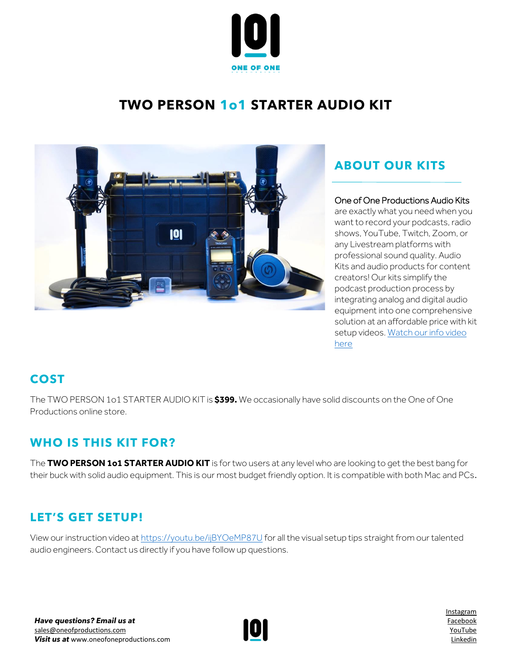

# **TWO PERSON 1o1 STARTER AUDIO KIT**



# **ABOUT OUR KITS**

### One of One Productions Audio Kits

are exactly what you need when you want to record your podcasts, radio shows, YouTube, Twitch, Zoom, or any Livestream platforms with professional sound quality. Audio Kits and audio products for content creators! Our kits simplify the podcast production process by integrating analog and digital audio equipment into one comprehensive solution at an affordable price with kit setup videos[. Watch our info video](https://www.youtube.com/watch?v=azt8UKdf2mI)  [here](https://www.youtube.com/watch?v=azt8UKdf2mI)

### **COST**

The TWO PERSON 1o1 STARTER AUDIO KIT is **\$399.** We occasionally have solid discounts on the One of One Productions online store.

# **WHO IS THIS KIT FOR?**

The **TWO PERSON 1o1 STARTER AUDIO KIT** is for two users at any level who are looking to get the best bang for their buck with solid audio equipment. This is our most budget friendly option. It is compatible with both Mac and PCs.

# **LET'S GET SETUP!**

View our instruction video a[t https://youtu.be/ijBYOeMP87U](https://youtu.be/ijBYOeMP87U) for all the visual setup tips straight from our talented audio engineers. Contact us directly if you have follow up questions.



[Instagram](http://www.instagram.com/oneofoneprostudio) [Facebook](http://www.facebook.com/oneofoneprostudio) [YouTube](https://www.youtube.com/channel/UC7rXqaZ33g4xGBeQXeCHT7Q/videos) [Linkedin](http://www.linkedin.com/company/one-of-one-productions-studio/)